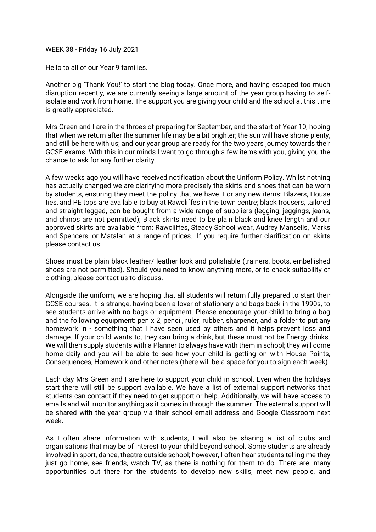WEEK 38 - Friday 16 July 2021

Hello to all of our Year 9 families.

Another big 'Thank You!' to start the blog today. Once more, and having escaped too much disruption recently, we are currently seeing a large amount of the year group having to selfisolate and work from home. The support you are giving your child and the school at this time is greatly appreciated.

Mrs Green and I are in the throes of preparing for September, and the start of Year 10, hoping that when we return after the summer life may be a bit brighter; the sun will have shone plenty, and still be here with us; and our year group are ready for the two years journey towards their GCSE exams. With this in our minds I want to go through a few items with you, giving you the chance to ask for any further clarity.

A few weeks ago you will have received notification about the Uniform Policy. Whilst nothing has actually changed we are clarifying more precisely the skirts and shoes that can be worn by students, ensuring they meet the policy that we have. For any new items: Blazers, House ties, and PE tops are available to buy at Rawcliffes in the town centre; black trousers, tailored and straight legged, can be bought from a wide range of suppliers (legging, jeggings, jeans, and chinos are not permitted); Black skirts need to be plain black and knee length and our approved skirts are available from: Rawcliffes, Steady School wear, Audrey Mansells, Marks and Spencers, or Matalan at a range of prices. If you require further clarification on skirts please contact us.

Shoes must be plain black leather/ leather look and polishable (trainers, boots, embellished shoes are not permitted). Should you need to know anything more, or to check suitability of clothing, please contact us to discuss.

Alongside the uniform, we are hoping that all students will return fully prepared to start their GCSE courses. It is strange, having been a lover of stationery and bags back in the 1990s, to see students arrive with no bags or equipment. Please encourage your child to bring a bag and the following equipment: pen x 2, pencil, ruler, rubber, sharpener, and a folder to put any homework in - something that I have seen used by others and it helps prevent loss and damage. If your child wants to, they can bring a drink, but these must not be Energy drinks. We will then supply students with a Planner to always have with them in school; they will come home daily and you will be able to see how your child is getting on with House Points, Consequences, Homework and other notes (there will be a space for you to sign each week).

Each day Mrs Green and I are here to support your child in school. Even when the holidays start there will still be support available. We have a list of external support networks that students can contact if they need to get support or help. Additionally, we will have access to emails and will monitor anything as it comes in through the summer. The external support will be shared with the year group via their school email address and Google Classroom next week.

As I often share information with students, I will also be sharing a list of clubs and organisations that may be of interest to your child beyond school. Some students are already involved in sport, dance, theatre outside school; however, I often hear students telling me they just go home, see friends, watch TV, as there is nothing for them to do. There are many opportunities out there for the students to develop new skills, meet new people, and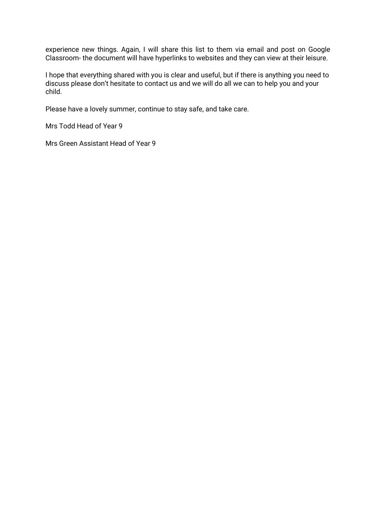experience new things. Again, I will share this list to them via email and post on Google Classroom- the document will have hyperlinks to websites and they can view at their leisure.

I hope that everything shared with you is clear and useful, but if there is anything you need to discuss please don't hesitate to contact us and we will do all we can to help you and your child.

Please have a lovely summer, continue to stay safe, and take care.

Mrs Todd Head of Year 9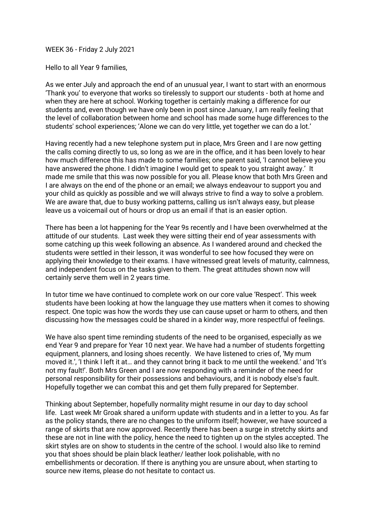#### WEEK 36 - Friday 2 July 2021

Hello to all Year 9 families,

As we enter July and approach the end of an unusual year, I want to start with an enormous 'Thank you' to everyone that works so tirelessly to support our students - both at home and when they are here at school. Working together is certainly making a difference for our students and, even though we have only been in post since January, I am really feeling that the level of collaboration between home and school has made some huge differences to the students' school experiences; 'Alone we can do very little, yet together we can do a lot.'

Having recently had a new telephone system put in place, Mrs Green and I are now getting the calls coming directly to us, so long as we are in the office, and it has been lovely to hear how much difference this has made to some families; one parent said, 'I cannot believe you have answered the phone. I didn't imagine I would get to speak to you straight away.' It made me smile that this was now possible for you all. Please know that both Mrs Green and I are always on the end of the phone or an email; we always endeavour to support you and your child as quickly as possible and we will always strive to find a way to solve a problem. We are aware that, due to busy working patterns, calling us isn't always easy, but please leave us a voicemail out of hours or drop us an email if that is an easier option.

There has been a lot happening for the Year 9s recently and I have been overwhelmed at the attitude of our students. Last week they were sitting their end of year assessments with some catching up this week following an absence. As I wandered around and checked the students were settled in their lesson, it was wonderful to see how focused they were on applying their knowledge to their exams. I have witnessed great levels of maturity, calmness, and independent focus on the tasks given to them. The great attitudes shown now will certainly serve them well in 2 years time.

In tutor time we have continued to complete work on our core value 'Respect'. This week students have been looking at how the language they use matters when it comes to showing respect. One topic was how the words they use can cause upset or harm to others, and then discussing how the messages could be shared in a kinder way, more respectful of feelings.

We have also spent time reminding students of the need to be organised, especially as we end Year 9 and prepare for Year 10 next year. We have had a number of students forgetting equipment, planners, and losing shoes recently. We have listened to cries of, 'My mum moved it.', 'I think I left it at… and they cannot bring it back to me until the weekend.' and 'It's not my fault!'. Both Mrs Green and I are now responding with a reminder of the need for personal responsibility for their possessions and behaviours, and it is nobody else's fault. Hopefully together we can combat this and get them fully prepared for September.

Thinking about September, hopefully normality might resume in our day to day school life. Last week Mr Groak shared a uniform update with students and in a letter to you. As far as the policy stands, there are no changes to the uniform itself; however, we have sourced a range of skirts that are now approved. Recently there has been a surge in stretchy skirts and these are not in line with the policy, hence the need to tighten up on the styles accepted. The skirt styles are on show to students in the centre of the school. I would also like to remind you that shoes should be plain black leather/ leather look polishable, with no embellishments or decoration. If there is anything you are unsure about, when starting to source new items, please do not hesitate to contact us.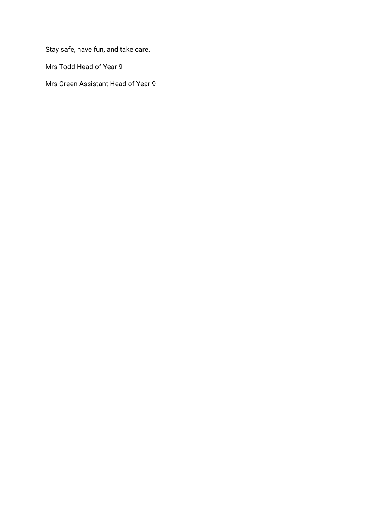Stay safe, have fun, and take care.

Mrs Todd Head of Year 9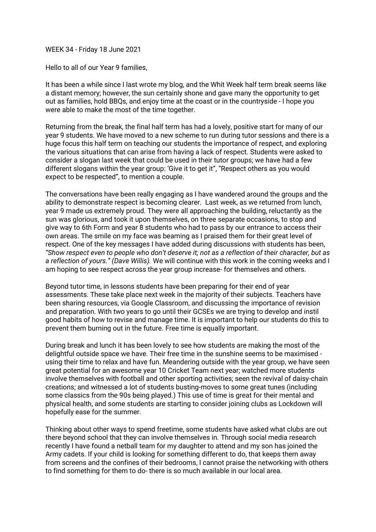WEEK 34 - Friday 18 June 2021

Hello to all of our Year 9 families,

It has been a while since I last wrote my blog, and the Whit Week half term break seems like a distant memory; however, the sun certainly shone and gave many the opportunity to get out as families, hold BBQs, and enjoy time at the coast or in the countryside - I hope you were able to make the most of the time together.

Returning from the break, the final half term has had a lovely, positive start for many of our year 9 students. We have moved to a new scheme to run during tutor sessions and there is a huge focus this half term on teaching our students the importance of respect, and exploring the various situations that can arise from having a lack of respect. Students were asked to consider a slogan last week that could be used in their tutor groups; we have had a few different slogans within the year group: 'Give it to get it", "Respect others as you would expect to be respected", to mention a couple.

The conversations have been really engaging as I have wandered around the groups and the ability to demonstrate respect is becoming clearer. Last week, as we returned from lunch, year 9 made us extremely proud. They were all approaching the building, reluctantly as the sun was glorious, and took it upon themselves, on three separate occasions, to stop and give way to 6th Form and year 8 students who had to pass by our entrance to access their own areas. The smile on my face was beaming as I praised them for their great level of respect. One of the key messages I have added during discussions with students has been, *"Show respect even to people who don't deserve it; not as a reflection of their character, but as a reflection of yours." (Dave Willis).* We will continue with this work in the coming weeks and I am hoping to see respect across the year group increase- for themselves and others.

Beyond tutor time, in lessons students have been preparing for their end of year assessments. These take place next week in the majority of their subjects. Teachers have been sharing resources, via Google Classroom, and discussing the importance of revision and preparation. With two years to go until their GCSEs we are trying to develop and instil good habits of how to revise and manage time. It is important to help our students do this to prevent them burning out in the future. Free time is equally important.

During break and lunch it has been lovely to see how students are making the most of the delightful outside space we have. Their free time in the sunshine seems to be maximised using their time to relax and have fun. Meandering outside with the year group, we have seen great potential for an awesome year 10 Cricket Team next year; watched more students involve themselves with football and other sporting activities; seen the revival of daisy-chain creations; and witnessed a lot of students busting-moves to some great tunes (including some classics from the 90s being played.) This use of time is great for their mental and physical health, and some students are starting to consider joining clubs as Lockdown will hopefully ease for the summer.

Thinking about other ways to spend freetime, some students have asked what clubs are out there beyond school that they can involve themselves in. Through social media research recently I have found a netball team for my daughter to attend and my son has joined the Army cadets. If your child is looking for something different to do, that keeps them away from screens and the confines of their bedrooms, I cannot praise the networking with others to find something for them to do- there is so much available in our local area.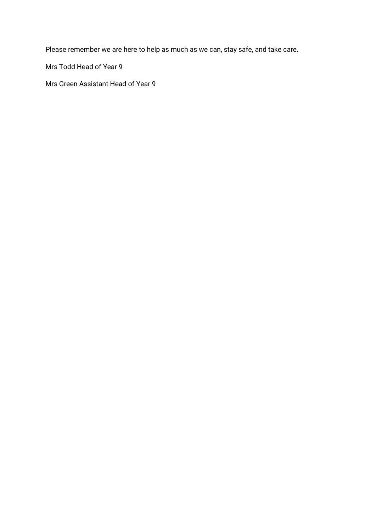Please remember we are here to help as much as we can, stay safe, and take care.

Mrs Todd Head of Year 9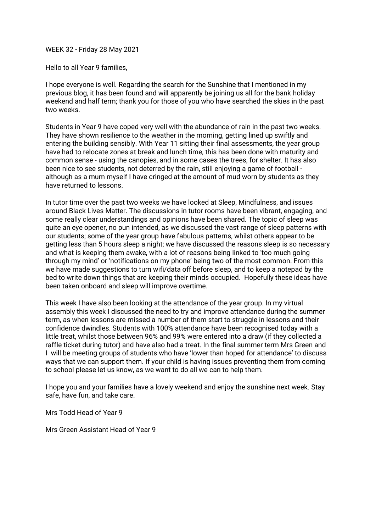### WEEK 32 - Friday 28 May 2021

Hello to all Year 9 families,

I hope everyone is well. Regarding the search for the Sunshine that I mentioned in my previous blog, it has been found and will apparently be joining us all for the bank holiday weekend and half term; thank you for those of you who have searched the skies in the past two weeks.

Students in Year 9 have coped very well with the abundance of rain in the past two weeks. They have shown resilience to the weather in the morning, getting lined up swiftly and entering the building sensibly. With Year 11 sitting their final assessments, the year group have had to relocate zones at break and lunch time, this has been done with maturity and common sense - using the canopies, and in some cases the trees, for shelter. It has also been nice to see students, not deterred by the rain, still enjoying a game of football although as a mum myself I have cringed at the amount of mud worn by students as they have returned to lessons.

In tutor time over the past two weeks we have looked at Sleep, Mindfulness, and issues around Black Lives Matter. The discussions in tutor rooms have been vibrant, engaging, and some really clear understandings and opinions have been shared. The topic of sleep was quite an eye opener, no pun intended, as we discussed the vast range of sleep patterns with our students; some of the year group have fabulous patterns, whilst others appear to be getting less than 5 hours sleep a night; we have discussed the reasons sleep is so necessary and what is keeping them awake, with a lot of reasons being linked to 'too much going through my mind' or 'notifications on my phone' being two of the most common. From this we have made suggestions to turn wifi/data off before sleep, and to keep a notepad by the bed to write down things that are keeping their minds occupied. Hopefully these ideas have been taken onboard and sleep will improve overtime.

This week I have also been looking at the attendance of the year group. In my virtual assembly this week I discussed the need to try and improve attendance during the summer term, as when lessons are missed a number of them start to struggle in lessons and their confidence dwindles. Students with 100% attendance have been recognised today with a little treat, whilst those between 96% and 99% were entered into a draw (if they collected a raffle ticket during tutor) and have also had a treat. In the final summer term Mrs Green and I will be meeting groups of students who have 'lower than hoped for attendance' to discuss ways that we can support them. If your child is having issues preventing them from coming to school please let us know, as we want to do all we can to help them.

I hope you and your families have a lovely weekend and enjoy the sunshine next week. Stay safe, have fun, and take care.

Mrs Todd Head of Year 9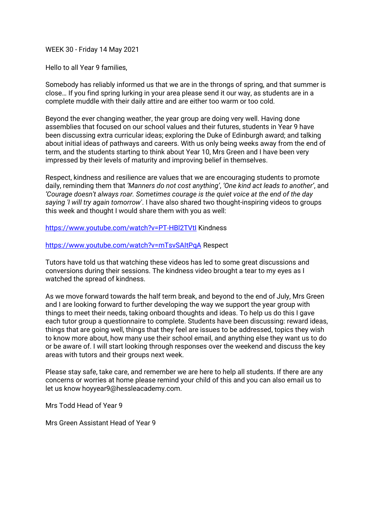## WEEK 30 - Friday 14 May 2021

Hello to all Year 9 families,

Somebody has reliably informed us that we are in the throngs of spring, and that summer is close… If you find spring lurking in your area please send it our way, as students are in a complete muddle with their daily attire and are either too warm or too cold.

Beyond the ever changing weather, the year group are doing very well. Having done assemblies that focused on our school values and their futures, students in Year 9 have been discussing extra curricular ideas; exploring the Duke of Edinburgh award; and talking about initial ideas of pathways and careers. With us only being weeks away from the end of term, and the students starting to think about Year 10, Mrs Green and I have been very impressed by their levels of maturity and improving belief in themselves.

Respect, kindness and resilience are values that we are encouraging students to promote daily, reminding them that *'Manners do not cost anything'*, *'One kind act leads to another'*, and *'Courage doesn't always roar. Sometimes courage is the quiet voice at the end of the day saying 'I will try again tomorrow'*. I have also shared two thought-inspiring videos to groups this week and thought I would share them with you as well:

https://www.youtube.com/watch?v=PT-HBl2TVtl Kindness

# <https://www.youtube.com/watch?v=mTsvSAItPqA> Respect

Tutors have told us that watching these videos has led to some great discussions and conversions during their sessions. The kindness video brought a tear to my eyes as I watched the spread of kindness.

As we move forward towards the half term break, and beyond to the end of July, Mrs Green and I are looking forward to further developing the way we support the year group with things to meet their needs, taking onboard thoughts and ideas. To help us do this I gave each tutor group a questionnaire to complete. Students have been discussing: reward ideas, things that are going well, things that they feel are issues to be addressed, topics they wish to know more about, how many use their school email, and anything else they want us to do or be aware of. I will start looking through responses over the weekend and discuss the key areas with tutors and their groups next week.

Please stay safe, take care, and remember we are here to help all students. If there are any concerns or worries at home please remind your child of this and you can also email us to let us know hoyyear9@hessleacademy.com.

Mrs Todd Head of Year 9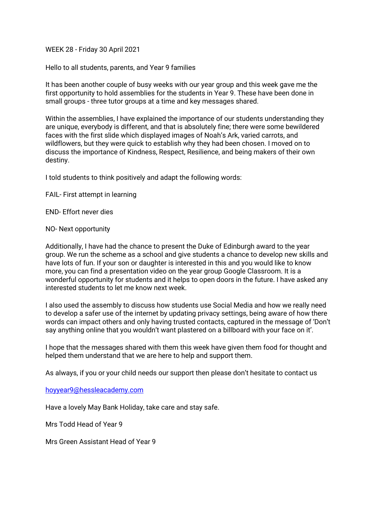WEEK 28 - Friday 30 April 2021

Hello to all students, parents, and Year 9 families

It has been another couple of busy weeks with our year group and this week gave me the first opportunity to hold assemblies for the students in Year 9. These have been done in small groups - three tutor groups at a time and key messages shared.

Within the assemblies, I have explained the importance of our students understanding they are unique, everybody is different, and that is absolutely fine; there were some bewildered faces with the first slide which displayed images of Noah's Ark, varied carrots, and wildflowers, but they were quick to establish why they had been chosen. I moved on to discuss the importance of Kindness, Respect, Resilience, and being makers of their own destiny.

I told students to think positively and adapt the following words:

FAIL- First attempt in learning

END- Effort never dies

#### NO- Next opportunity

Additionally, I have had the chance to present the Duke of Edinburgh award to the year group. We run the scheme as a school and give students a chance to develop new skills and have lots of fun. If your son or daughter is interested in this and you would like to know more, you can find a presentation video on the year group Google Classroom. It is a wonderful opportunity for students and it helps to open doors in the future. I have asked any interested students to let me know next week.

I also used the assembly to discuss how students use Social Media and how we really need to develop a safer use of the internet by updating privacy settings, being aware of how there words can impact others and only having trusted contacts, captured in the message of 'Don't say anything online that you wouldn't want plastered on a billboard with your face on it'.

I hope that the messages shared with them this week have given them food for thought and helped them understand that we are here to help and support them.

As always, if you or your child needs our support then please don't hesitate to contact us

[hoyyear9@hessleacademy.com](mailto:HOYYear9@hessleacademy.com)

Have a lovely May Bank Holiday, take care and stay safe.

Mrs Todd Head of Year 9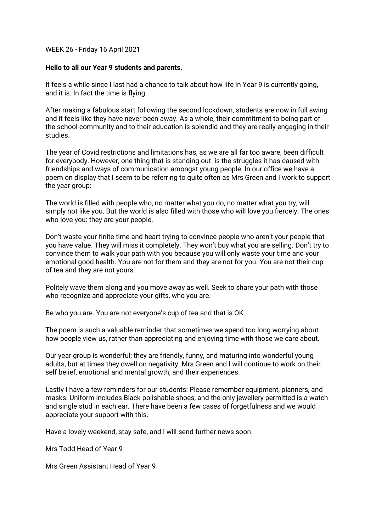WEEK 26 - Friday 16 April 2021

# **Hello to all our Year 9 students and parents.**

It feels a while since I last had a chance to talk about how life in Year 9 is currently going, and it is. In fact the time is flying.

After making a fabulous start following the second lockdown, students are now in full swing and it feels like they have never been away. As a whole, their commitment to being part of the school community and to their education is splendid and they are really engaging in their studies.

The year of Covid restrictions and limitations has, as we are all far too aware, been difficult for everybody. However, one thing that is standing out is the struggles it has caused with friendships and ways of communication amongst young people. In our office we have a poem on display that I seem to be referring to quite often as Mrs Green and I work to support the year group:

The world is filled with people who, no matter what you do, no matter what you try, will simply not like you. But the world is also filled with those who will love you fiercely. The ones who love you: they are your people.

Don't waste your finite time and heart trying to convince people who aren't your people that you have value. They will miss it completely. They won't buy what you are selling. Don't try to convince them to walk your path with you because you will only waste your time and your emotional good health. You are not for them and they are not for you. You are not their cup of tea and they are not yours.

Politely wave them along and you move away as well. Seek to share your path with those who recognize and appreciate your gifts, who you are.

Be who you are. You are not everyone's cup of tea and that is OK.

The poem is such a valuable reminder that sometimes we spend too long worrying about how people view us, rather than appreciating and enjoying time with those we care about.

Our year group is wonderful; they are friendly, funny, and maturing into wonderful young adults, but at times they dwell on negativity. Mrs Green and I will continue to work on their self belief, emotional and mental growth, and their experiences.

Lastly I have a few reminders for our students: Please remember equipment, planners, and masks. Uniform includes Black polishable shoes, and the only jewellery permitted is a watch and single stud in each ear. There have been a few cases of forgetfulness and we would appreciate your support with this.

Have a lovely weekend, stay safe, and I will send further news soon.

Mrs Todd Head of Year 9